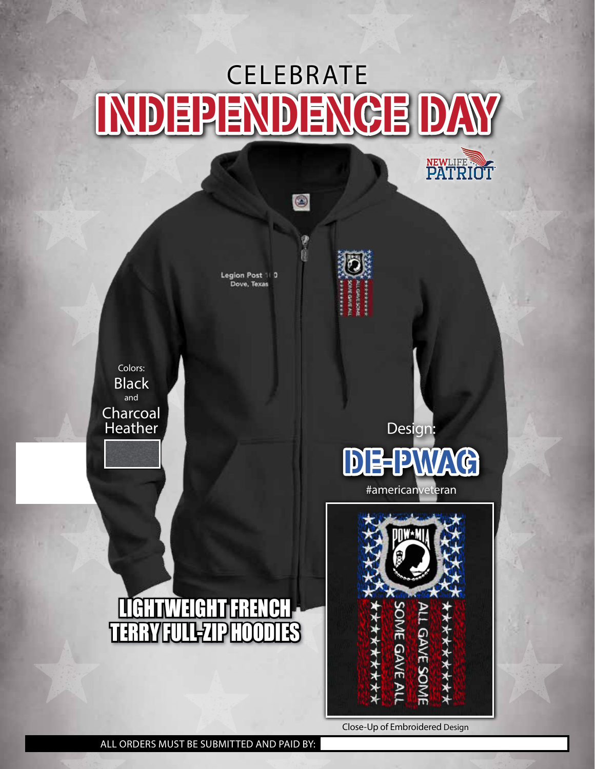## INDEPENDENCE DAY **CELEBRATE**

0

Legion Post 110 Dove, Texas



Black Charcoal Heather Colors: and



**NEWLIFE SOFT** 

#americanveteran





*INE GAVE AL* 

\*\*\*\*\*\*\*\*

LGAVE SOME

\*\*\*\*\*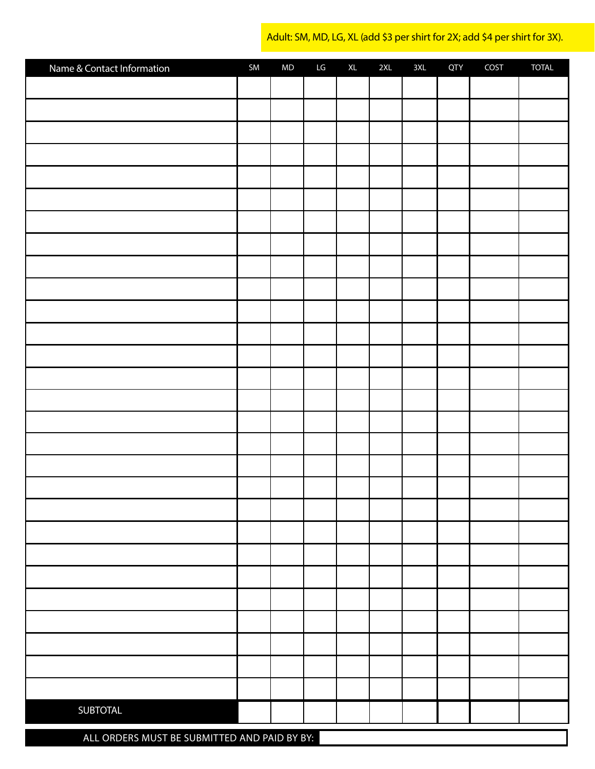Adult: SM, MD, LG, XL (add \$3 per shirt for 2X; add \$4 per shirt for 3X).

| Name & Contact Information | SM | $\sf MD$ | LG | $\mathsf{XL}$ | 2XL | 3XL | <b>QTY</b> | COST | <b>TOTAL</b> |
|----------------------------|----|----------|----|---------------|-----|-----|------------|------|--------------|
|                            |    |          |    |               |     |     |            |      |              |
|                            |    |          |    |               |     |     |            |      |              |
|                            |    |          |    |               |     |     |            |      |              |
|                            |    |          |    |               |     |     |            |      |              |
|                            |    |          |    |               |     |     |            |      |              |
|                            |    |          |    |               |     |     |            |      |              |
|                            |    |          |    |               |     |     |            |      |              |
|                            |    |          |    |               |     |     |            |      |              |
|                            |    |          |    |               |     |     |            |      |              |
|                            |    |          |    |               |     |     |            |      |              |
|                            |    |          |    |               |     |     |            |      |              |
|                            |    |          |    |               |     |     |            |      |              |
|                            |    |          |    |               |     |     |            |      |              |
|                            |    |          |    |               |     |     |            |      |              |
|                            |    |          |    |               |     |     |            |      |              |
|                            |    |          |    |               |     |     |            |      |              |
|                            |    |          |    |               |     |     |            |      |              |
|                            |    |          |    |               |     |     |            |      |              |
|                            |    |          |    |               |     |     |            |      |              |
|                            |    |          |    |               |     |     |            |      |              |
|                            |    |          |    |               |     |     |            |      |              |
|                            |    |          |    |               |     |     |            |      |              |
|                            |    |          |    |               |     |     |            |      |              |
|                            |    |          |    |               |     |     |            |      |              |
|                            |    |          |    |               |     |     |            |      |              |
|                            |    |          |    |               |     |     |            |      |              |
|                            |    |          |    |               |     |     |            |      |              |
|                            |    |          |    |               |     |     |            |      |              |
| SUBTOTAL                   |    |          |    |               |     |     |            |      |              |
|                            |    |          |    |               |     |     |            |      |              |